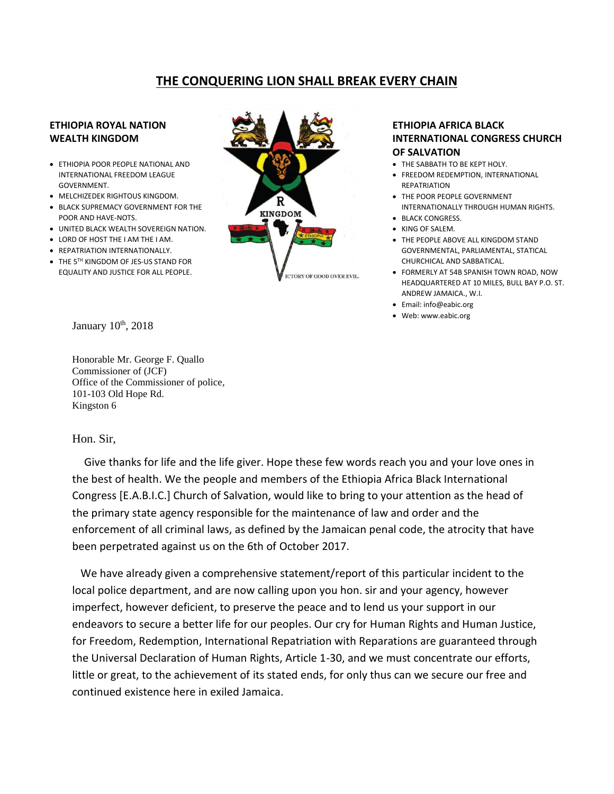## **THE CONQUERING LION SHALL BREAK EVERY CHAIN**

## **ETHIOPIA ROYAL NATION WEALTH KINGDOM**

- ETHIOPIA POOR PEOPLE NATIONAL AND INTERNATIONAL FREEDOM LEAGUE GOVERNMENT.
- MELCHIZEDEK RIGHTOUS KINGDOM.
- BLACK SUPREMACY GOVERNMENT FOR THE POOR AND HAVE-NOTS.
- UNITED BLACK WEALTH SOVEREIGN NATION.
- LORD OF HOST THE I AM THE I AM.
- REPATRIATION INTERNATIONALLY.
- THE 5TH KINGDOM OF JES-US STAND FOR EQUALITY AND JUSTICE FOR ALL PEOPLE.



## **ETHIOPIA AFRICA BLACK INTERNATIONAL CONGRESS CHURCH OF SALVATION**

- THE SABBATH TO BE KEPT HOLY.
- FREEDOM REDEMPTION, INTERNATIONAL **REPATRIATION**
- THE POOR PEOPLE GOVERNMENT INTERNATIONALLY THROUGH HUMAN RIGHTS.
- BLACK CONGRESS.
- KING OF SALEM.
- THE PEOPLE ABOVE ALL KINGDOM STAND GOVERNMENTAL, PARLIAMENTAL, STATICAL CHURCHICAL AND SABBATICAL.
- FORMERLY AT 54B SPANISH TOWN ROAD, NOW HEADQUARTERED AT 10 MILES, BULL BAY P.O. ST. ANDREW JAMAICA., W.I.
- Email: info@eabic.org
- Web: www.eabic.org

January 10<sup>th</sup>, 2018

Honorable Mr. George F. Quallo Commissioner of (JCF) Office of the Commissioner of police, 101-103 Old Hope Rd. Kingston 6

## Hon. Sir,

 Give thanks for life and the life giver. Hope these few words reach you and your love ones in the best of health. We the people and members of the Ethiopia Africa Black International Congress [E.A.B.I.C.] Church of Salvation, would like to bring to your attention as the head of the primary state agency responsible for the maintenance of law and order and the enforcement of all criminal laws, as defined by the Jamaican penal code, the atrocity that have been perpetrated against us on the 6th of October 2017.

 We have already given a comprehensive statement/report of this particular incident to the local police department, and are now calling upon you hon. sir and your agency, however imperfect, however deficient, to preserve the peace and to lend us your support in our endeavors to secure a better life for our peoples. Our cry for Human Rights and Human Justice, for Freedom, Redemption, International Repatriation with Reparations are guaranteed through the Universal Declaration of Human Rights, Article 1-30, and we must concentrate our efforts, little or great, to the achievement of its stated ends, for only thus can we secure our free and continued existence here in exiled Jamaica.